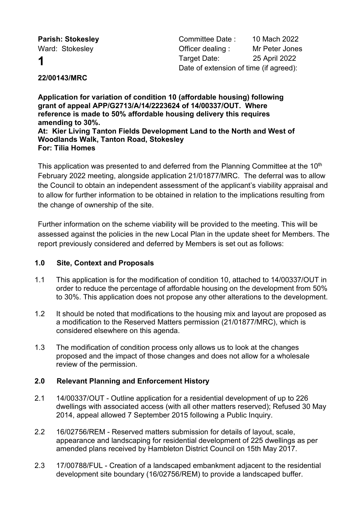**Parish: Stokesley Committee Date : 10 Mach 2022** Ward: Stokesley **Communist Communist Communist Communist Communist Communist Communist Communist Communist Communist Communist Communist Communist Communist Communist Communist Communist Communist Communist Communist Commu 1** Target Date: 25 April 2022 Date of extension of time (if agreed):

# **22/00143/MRC**

**Application for variation of condition 10 (affordable housing) following grant of appeal APP/G2713/A/14/2223624 of 14/00337/OUT. Where reference is made to 50% affordable housing delivery this requires amending to 30%. At: Kier Living Tanton Fields Development Land to the North and West of Woodlands Walk, Tanton Road, Stokesley For: Tilia Homes**

This application was presented to and deferred from the Planning Committee at the 10<sup>th</sup> February 2022 meeting, alongside application 21/01877/MRC. The deferral was to allow the Council to obtain an independent assessment of the applicant's viability appraisal and to allow for further information to be obtained in relation to the implications resulting from the change of ownership of the site.

Further information on the scheme viability will be provided to the meeting. This will be assessed against the policies in the new Local Plan in the update sheet for Members. The report previously considered and deferred by Members is set out as follows:

# **1.0 Site, Context and Proposals**

- 1.1 This application is for the modification of condition 10, attached to 14/00337/OUT in order to reduce the percentage of affordable housing on the development from 50% to 30%. This application does not propose any other alterations to the development.
- 1.2 It should be noted that modifications to the housing mix and layout are proposed as a modification to the Reserved Matters permission (21/01877/MRC), which is considered elsewhere on this agenda.
- 1.3 The modification of condition process only allows us to look at the changes proposed and the impact of those changes and does not allow for a wholesale review of the permission.

# **2.0 Relevant Planning and Enforcement History**

- 2.1 14/00337/OUT Outline application for a residential development of up to 226 dwellings with associated access (with all other matters reserved); Refused 30 May 2014, appeal allowed 7 September 2015 following a Public Inquiry.
- 2.2 16/02756/REM Reserved matters submission for details of layout, scale, appearance and landscaping for residential development of 225 dwellings as per amended plans received by Hambleton District Council on 15th May 2017.
- 2.3 17/00788/FUL Creation of a landscaped embankment adjacent to the residential development site boundary (16/02756/REM) to provide a landscaped buffer.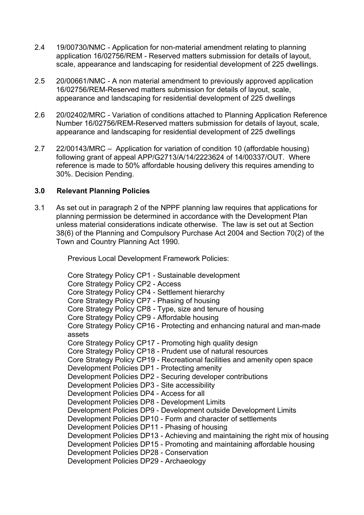- 2.4 19/00730/NMC Application for non-material amendment relating to planning application 16/02756/REM - Reserved matters submission for details of layout, scale, appearance and landscaping for residential development of 225 dwellings.
- 2.5 20/00661/NMC A non material amendment to previously approved application 16/02756/REM-Reserved matters submission for details of layout, scale, appearance and landscaping for residential development of 225 dwellings
- 2.6 20/02402/MRC Variation of conditions attached to Planning Application Reference Number 16/02756/REM-Reserved matters submission for details of layout, scale, appearance and landscaping for residential development of 225 dwellings
- 2.7 22/00143/MRC Application for variation of condition 10 (affordable housing) following grant of appeal APP/G2713/A/14/2223624 of 14/00337/OUT. Where reference is made to 50% affordable housing delivery this requires amending to 30%. Decision Pending.

## **3.0 Relevant Planning Policies**

3.1 As set out in paragraph 2 of the NPPF planning law requires that applications for planning permission be determined in accordance with the Development Plan unless material considerations indicate otherwise. The law is set out at Section 38(6) of the Planning and Compulsory Purchase Act 2004 and Section 70(2) of the Town and Country Planning Act 1990.

Previous Local Development Framework Policies:

Core Strategy Policy CP1 - Sustainable development Core Strategy Policy CP2 - Access Core Strategy Policy CP4 - Settlement hierarchy Core Strategy Policy CP7 - Phasing of housing Core Strategy Policy CP8 - Type, size and tenure of housing Core Strategy Policy CP9 - Affordable housing Core Strategy Policy CP16 - Protecting and enhancing natural and man-made assets Core Strategy Policy CP17 - Promoting high quality design Core Strategy Policy CP18 - Prudent use of natural resources Core Strategy Policy CP19 - Recreational facilities and amenity open space Development Policies DP1 - Protecting amenity Development Policies DP2 - Securing developer contributions Development Policies DP3 - Site accessibility Development Policies DP4 - Access for all Development Policies DP8 - Development Limits Development Policies DP9 - Development outside Development Limits Development Policies DP10 - Form and character of settlements Development Policies DP11 - Phasing of housing Development Policies DP13 - Achieving and maintaining the right mix of housing Development Policies DP15 - Promoting and maintaining affordable housing Development Policies DP28 - Conservation Development Policies DP29 - Archaeology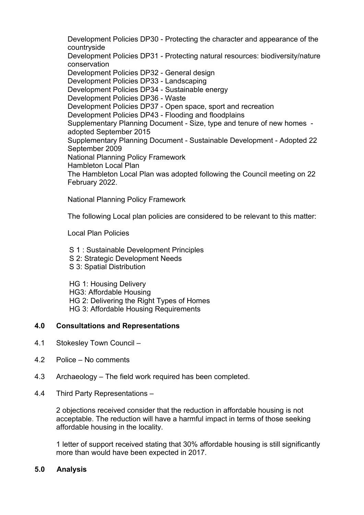Development Policies DP30 - Protecting the character and appearance of the countryside Development Policies DP31 - Protecting natural resources: biodiversity/nature conservation Development Policies DP32 - General design Development Policies DP33 - Landscaping Development Policies DP34 - Sustainable energy Development Policies DP36 - Waste Development Policies DP37 - Open space, sport and recreation Development Policies DP43 - Flooding and floodplains Supplementary Planning Document - Size, type and tenure of new homes adopted September 2015 Supplementary Planning Document - Sustainable Development - Adopted 22 September 2009 National Planning Policy Framework Hambleton Local Plan The Hambleton Local Plan was adopted following the Council meeting on 22 February 2022.

National Planning Policy Framework

The following Local plan policies are considered to be relevant to this matter:

Local Plan Policies

- S 1 : Sustainable Development Principles
- S 2: Strategic Development Needs
- S 3: Spatial Distribution

HG 1: Housing Delivery HG3: Affordable Housing HG 2: Delivering the Right Types of Homes HG 3: Affordable Housing Requirements

# **4.0 Consultations and Representations**

- 4.1 Stokesley Town Council –
- 4.2 Police No comments
- 4.3 Archaeology The field work required has been completed.
- 4.4 Third Party Representations –

2 objections received consider that the reduction in affordable housing is not acceptable. The reduction will have a harmful impact in terms of those seeking affordable housing in the locality.

1 letter of support received stating that 30% affordable housing is still significantly more than would have been expected in 2017.

## **5.0 Analysis**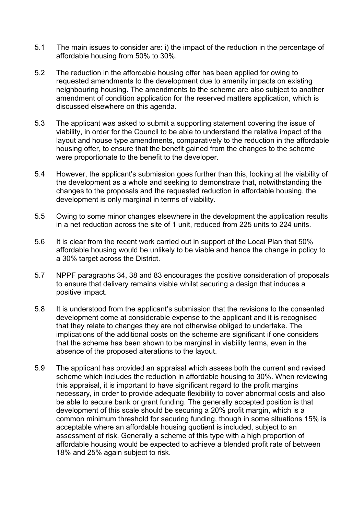- 5.1 The main issues to consider are: i) the impact of the reduction in the percentage of affordable housing from 50% to 30%.
- 5.2 The reduction in the affordable housing offer has been applied for owing to requested amendments to the development due to amenity impacts on existing neighbouring housing. The amendments to the scheme are also subject to another amendment of condition application for the reserved matters application, which is discussed elsewhere on this agenda.
- 5.3 The applicant was asked to submit a supporting statement covering the issue of viability, in order for the Council to be able to understand the relative impact of the layout and house type amendments, comparatively to the reduction in the affordable housing offer, to ensure that the benefit gained from the changes to the scheme were proportionate to the benefit to the developer.
- 5.4 However, the applicant's submission goes further than this, looking at the viability of the development as a whole and seeking to demonstrate that, notwithstanding the changes to the proposals and the requested reduction in affordable housing, the development is only marginal in terms of viability.
- 5.5 Owing to some minor changes elsewhere in the development the application results in a net reduction across the site of 1 unit, reduced from 225 units to 224 units.
- 5.6 It is clear from the recent work carried out in support of the Local Plan that 50% affordable housing would be unlikely to be viable and hence the change in policy to a 30% target across the District.
- 5.7 NPPF paragraphs 34, 38 and 83 encourages the positive consideration of proposals to ensure that delivery remains viable whilst securing a design that induces a positive impact.
- 5.8 It is understood from the applicant's submission that the revisions to the consented development come at considerable expense to the applicant and it is recognised that they relate to changes they are not otherwise obliged to undertake. The implications of the additional costs on the scheme are significant if one considers that the scheme has been shown to be marginal in viability terms, even in the absence of the proposed alterations to the layout.
- 5.9 The applicant has provided an appraisal which assess both the current and revised scheme which includes the reduction in affordable housing to 30%. When reviewing this appraisal, it is important to have significant regard to the profit margins necessary, in order to provide adequate flexibility to cover abnormal costs and also be able to secure bank or grant funding. The generally accepted position is that development of this scale should be securing a 20% profit margin, which is a common minimum threshold for securing funding, though in some situations 15% is acceptable where an affordable housing quotient is included, subject to an assessment of risk. Generally a scheme of this type with a high proportion of affordable housing would be expected to achieve a blended profit rate of between 18% and 25% again subject to risk.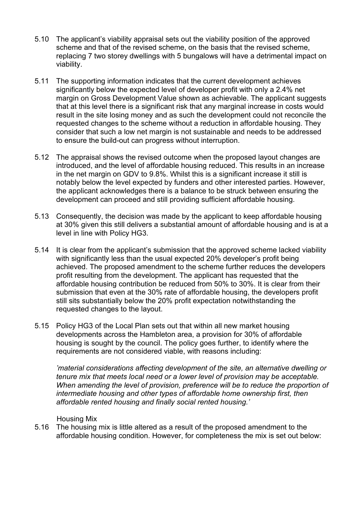- 5.10 The applicant's viability appraisal sets out the viability position of the approved scheme and that of the revised scheme, on the basis that the revised scheme, replacing 7 two storey dwellings with 5 bungalows will have a detrimental impact on viability.
- 5.11 The supporting information indicates that the current development achieves significantly below the expected level of developer profit with only a 2.4% net margin on Gross Development Value shown as achievable. The applicant suggests that at this level there is a significant risk that any marginal increase in costs would result in the site losing money and as such the development could not reconcile the requested changes to the scheme without a reduction in affordable housing. They consider that such a low net margin is not sustainable and needs to be addressed to ensure the build-out can progress without interruption.
- 5.12 The appraisal shows the revised outcome when the proposed layout changes are introduced, and the level of affordable housing reduced. This results in an increase in the net margin on GDV to 9.8%. Whilst this is a significant increase it still is notably below the level expected by funders and other interested parties. However, the applicant acknowledges there is a balance to be struck between ensuring the development can proceed and still providing sufficient affordable housing.
- 5.13 Consequently, the decision was made by the applicant to keep affordable housing at 30% given this still delivers a substantial amount of affordable housing and is at a level in line with Policy HG3.
- 5.14 It is clear from the applicant's submission that the approved scheme lacked viability with significantly less than the usual expected 20% developer's profit being achieved. The proposed amendment to the scheme further reduces the developers profit resulting from the development. The applicant has requested that the affordable housing contribution be reduced from 50% to 30%. It is clear from their submission that even at the 30% rate of affordable housing, the developers profit still sits substantially below the 20% profit expectation notwithstanding the requested changes to the layout.
- 5.15 Policy HG3 of the Local Plan sets out that within all new market housing developments across the Hambleton area, a provision for 30% of affordable housing is sought by the council. The policy goes further, to identify where the requirements are not considered viable, with reasons including:

*'material considerations affecting development of the site, an alternative dwelling or tenure mix that meets local need or a lower level of provision may be acceptable. When amending the level of provision, preference will be to reduce the proportion of intermediate housing and other types of affordable home ownership first, then affordable rented housing and finally social rented housing.'*

## Housing Mix

5.16 The housing mix is little altered as a result of the proposed amendment to the affordable housing condition. However, for completeness the mix is set out below: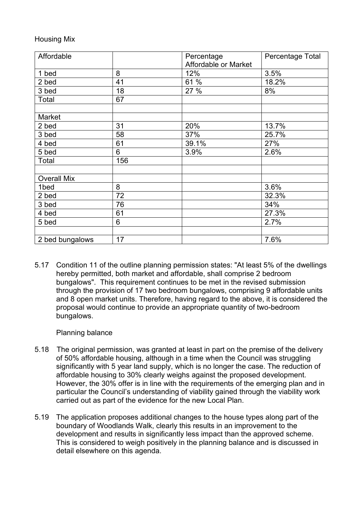## Housing Mix

| Affordable         |     | Percentage           | Percentage Total |
|--------------------|-----|----------------------|------------------|
|                    |     | Affordable or Market |                  |
| 1 bed              | 8   | 12%                  | 3.5%             |
| 2 bed              | 41  | 61 %                 | 18.2%            |
| 3 bed              | 18  | 27 %                 | 8%               |
| Total              | 67  |                      |                  |
|                    |     |                      |                  |
| Market             |     |                      |                  |
| 2 bed              | 31  | 20%                  | 13.7%            |
| 3 bed              | 58  | 37%                  | 25.7%            |
| 4 bed              | 61  | 39.1%                | 27%              |
| 5 bed              | 6   | 3.9%                 | 2.6%             |
| Total              | 156 |                      |                  |
|                    |     |                      |                  |
| <b>Overall Mix</b> |     |                      |                  |
| 1bed               | 8   |                      | 3.6%             |
| 2 bed              | 72  |                      | 32.3%            |
| 3 bed              | 76  |                      | 34%              |
| 4 bed              | 61  |                      | 27.3%            |
| 5 bed              | 6   |                      | 2.7%             |
|                    |     |                      |                  |
| 2 bed bungalows    | 17  |                      | 7.6%             |

5.17 Condition 11 of the outline planning permission states: "At least 5% of the dwellings hereby permitted, both market and affordable, shall comprise 2 bedroom bungalows". This requirement continues to be met in the revised submission through the provision of 17 two bedroom bungalows, comprising 9 affordable units and 8 open market units. Therefore, having regard to the above, it is considered the proposal would continue to provide an appropriate quantity of two-bedroom bungalows.

Planning balance

- 5.18 The original permission, was granted at least in part on the premise of the delivery of 50% affordable housing, although in a time when the Council was struggling significantly with 5 year land supply, which is no longer the case. The reduction of affordable housing to 30% clearly weighs against the proposed development. However, the 30% offer is in line with the requirements of the emerging plan and in particular the Council's understanding of viability gained through the viability work carried out as part of the evidence for the new Local Plan.
- 5.19 The application proposes additional changes to the house types along part of the boundary of Woodlands Walk, clearly this results in an improvement to the development and results in significantly less impact than the approved scheme. This is considered to weigh positively in the planning balance and is discussed in detail elsewhere on this agenda.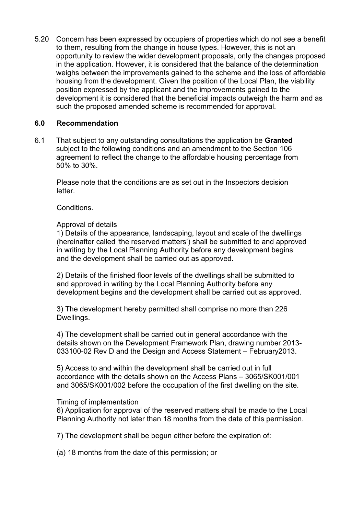5.20 Concern has been expressed by occupiers of properties which do not see a benefit to them, resulting from the change in house types. However, this is not an opportunity to review the wider development proposals, only the changes proposed in the application. However, it is considered that the balance of the determination weighs between the improvements gained to the scheme and the loss of affordable housing from the development. Given the position of the Local Plan, the viability position expressed by the applicant and the improvements gained to the development it is considered that the beneficial impacts outweigh the harm and as such the proposed amended scheme is recommended for approval.

## **6.0 Recommendation**

6.1 That subject to any outstanding consultations the application be **Granted**  subject to the following conditions and an amendment to the Section 106 agreement to reflect the change to the affordable housing percentage from 50% to 30%.

Please note that the conditions are as set out in the Inspectors decision letter.

## Conditions.

## Approval of details

1) Details of the appearance, landscaping, layout and scale of the dwellings (hereinafter called 'the reserved matters') shall be submitted to and approved in writing by the Local Planning Authority before any development begins and the development shall be carried out as approved.

2) Details of the finished floor levels of the dwellings shall be submitted to and approved in writing by the Local Planning Authority before any development begins and the development shall be carried out as approved.

3) The development hereby permitted shall comprise no more than 226 Dwellings.

4) The development shall be carried out in general accordance with the details shown on the Development Framework Plan, drawing number 2013- 033100-02 Rev D and the Design and Access Statement – February2013.

5) Access to and within the development shall be carried out in full accordance with the details shown on the Access Plans – 3065/SK001/001 and 3065/SK001/002 before the occupation of the first dwelling on the site.

#### Timing of implementation

6) Application for approval of the reserved matters shall be made to the Local Planning Authority not later than 18 months from the date of this permission.

7) The development shall be begun either before the expiration of:

(a) 18 months from the date of this permission; or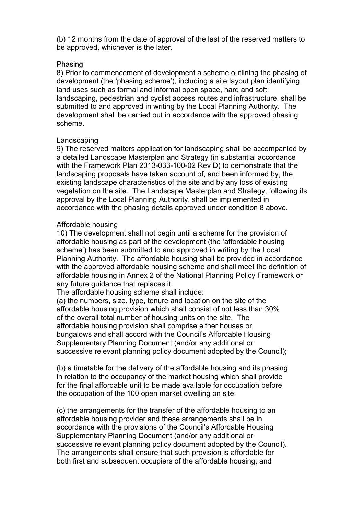(b) 12 months from the date of approval of the last of the reserved matters to be approved, whichever is the later.

#### Phasing

8) Prior to commencement of development a scheme outlining the phasing of development (the 'phasing scheme'), including a site layout plan identifying land uses such as formal and informal open space, hard and soft landscaping, pedestrian and cyclist access routes and infrastructure, shall be submitted to and approved in writing by the Local Planning Authority. The development shall be carried out in accordance with the approved phasing scheme.

#### Landscaping

9) The reserved matters application for landscaping shall be accompanied by a detailed Landscape Masterplan and Strategy (in substantial accordance with the Framework Plan 2013-033-100-02 Rev D) to demonstrate that the landscaping proposals have taken account of, and been informed by, the existing landscape characteristics of the site and by any loss of existing vegetation on the site. The Landscape Masterplan and Strategy, following its approval by the Local Planning Authority, shall be implemented in accordance with the phasing details approved under condition 8 above.

#### Affordable housing

10) The development shall not begin until a scheme for the provision of affordable housing as part of the development (the 'affordable housing scheme') has been submitted to and approved in writing by the Local Planning Authority. The affordable housing shall be provided in accordance with the approved affordable housing scheme and shall meet the definition of affordable housing in Annex 2 of the National Planning Policy Framework or any future guidance that replaces it.

The affordable housing scheme shall include:

(a) the numbers, size, type, tenure and location on the site of the affordable housing provision which shall consist of not less than 30% of the overall total number of housing units on the site. The affordable housing provision shall comprise either houses or bungalows and shall accord with the Council's Affordable Housing Supplementary Planning Document (and/or any additional or successive relevant planning policy document adopted by the Council);

(b) a timetable for the delivery of the affordable housing and its phasing in relation to the occupancy of the market housing which shall provide for the final affordable unit to be made available for occupation before the occupation of the 100 open market dwelling on site;

(c) the arrangements for the transfer of the affordable housing to an affordable housing provider and these arrangements shall be in accordance with the provisions of the Council's Affordable Housing Supplementary Planning Document (and/or any additional or successive relevant planning policy document adopted by the Council). The arrangements shall ensure that such provision is affordable for both first and subsequent occupiers of the affordable housing; and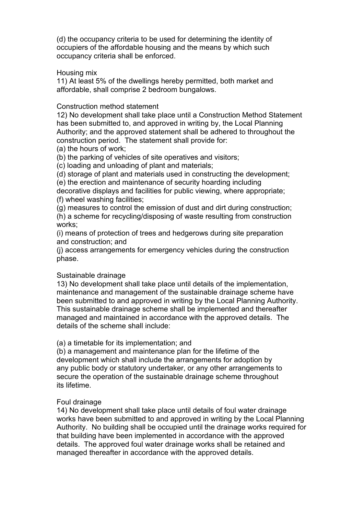(d) the occupancy criteria to be used for determining the identity of occupiers of the affordable housing and the means by which such occupancy criteria shall be enforced.

#### Housing mix

11) At least 5% of the dwellings hereby permitted, both market and affordable, shall comprise 2 bedroom bungalows.

## Construction method statement

12) No development shall take place until a Construction Method Statement has been submitted to, and approved in writing by, the Local Planning Authority; and the approved statement shall be adhered to throughout the construction period. The statement shall provide for:

(a) the hours of work;

(b) the parking of vehicles of site operatives and visitors;

(c) loading and unloading of plant and materials;

(d) storage of plant and materials used in constructing the development;

(e) the erection and maintenance of security hoarding including

decorative displays and facilities for public viewing, where appropriate; (f) wheel washing facilities;

(g) measures to control the emission of dust and dirt during construction; (h) a scheme for recycling/disposing of waste resulting from construction works;

(i) means of protection of trees and hedgerows during site preparation and construction; and

(j) access arrangements for emergency vehicles during the construction phase.

## Sustainable drainage

13) No development shall take place until details of the implementation, maintenance and management of the sustainable drainage scheme have been submitted to and approved in writing by the Local Planning Authority. This sustainable drainage scheme shall be implemented and thereafter managed and maintained in accordance with the approved details. The details of the scheme shall include:

(a) a timetable for its implementation; and

(b) a management and maintenance plan for the lifetime of the development which shall include the arrangements for adoption by any public body or statutory undertaker, or any other arrangements to secure the operation of the sustainable drainage scheme throughout its lifetime.

## Foul drainage

14) No development shall take place until details of foul water drainage works have been submitted to and approved in writing by the Local Planning Authority. No building shall be occupied until the drainage works required for that building have been implemented in accordance with the approved details. The approved foul water drainage works shall be retained and managed thereafter in accordance with the approved details.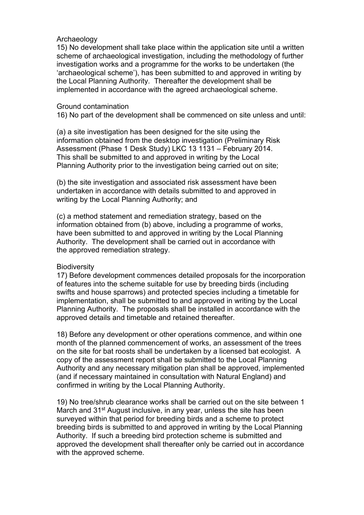## Archaeology

15) No development shall take place within the application site until a written scheme of archaeological investigation, including the methodology of further investigation works and a programme for the works to be undertaken (the 'archaeological scheme'), has been submitted to and approved in writing by the Local Planning Authority. Thereafter the development shall be implemented in accordance with the agreed archaeological scheme.

#### Ground contamination

16) No part of the development shall be commenced on site unless and until:

(a) a site investigation has been designed for the site using the information obtained from the desktop investigation (Preliminary Risk Assessment (Phase 1 Desk Study) LKC 13 1131 – February 2014. This shall be submitted to and approved in writing by the Local Planning Authority prior to the investigation being carried out on site;

(b) the site investigation and associated risk assessment have been undertaken in accordance with details submitted to and approved in writing by the Local Planning Authority; and

(c) a method statement and remediation strategy, based on the information obtained from (b) above, including a programme of works, have been submitted to and approved in writing by the Local Planning Authority. The development shall be carried out in accordance with the approved remediation strategy.

## **Biodiversity**

17) Before development commences detailed proposals for the incorporation of features into the scheme suitable for use by breeding birds (including swifts and house sparrows) and protected species including a timetable for implementation, shall be submitted to and approved in writing by the Local Planning Authority. The proposals shall be installed in accordance with the approved details and timetable and retained thereafter.

18) Before any development or other operations commence, and within one month of the planned commencement of works, an assessment of the trees on the site for bat roosts shall be undertaken by a licensed bat ecologist. A copy of the assessment report shall be submitted to the Local Planning Authority and any necessary mitigation plan shall be approved, implemented (and if necessary maintained in consultation with Natural England) and confirmed in writing by the Local Planning Authority.

19) No tree/shrub clearance works shall be carried out on the site between 1 March and 31<sup>st</sup> August inclusive, in any year, unless the site has been surveyed within that period for breeding birds and a scheme to protect breeding birds is submitted to and approved in writing by the Local Planning Authority. If such a breeding bird protection scheme is submitted and approved the development shall thereafter only be carried out in accordance with the approved scheme.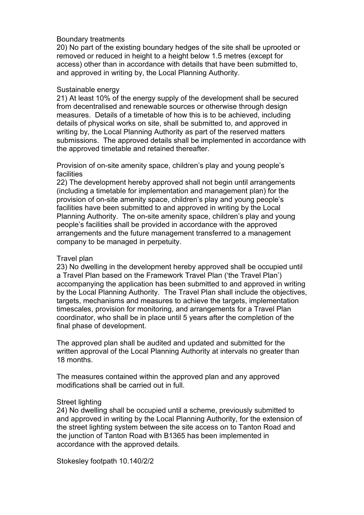#### Boundary treatments

20) No part of the existing boundary hedges of the site shall be uprooted or removed or reduced in height to a height below 1.5 metres (except for access) other than in accordance with details that have been submitted to, and approved in writing by, the Local Planning Authority.

## Sustainable energy

21) At least 10% of the energy supply of the development shall be secured from decentralised and renewable sources or otherwise through design measures. Details of a timetable of how this is to be achieved, including details of physical works on site, shall be submitted to, and approved in writing by, the Local Planning Authority as part of the reserved matters submissions. The approved details shall be implemented in accordance with the approved timetable and retained thereafter.

Provision of on-site amenity space, children's play and young people's facilities

22) The development hereby approved shall not begin until arrangements (including a timetable for implementation and management plan) for the provision of on-site amenity space, children's play and young people's facilities have been submitted to and approved in writing by the Local Planning Authority. The on-site amenity space, children's play and young people's facilities shall be provided in accordance with the approved arrangements and the future management transferred to a management company to be managed in perpetuity.

## Travel plan

23) No dwelling in the development hereby approved shall be occupied until a Travel Plan based on the Framework Travel Plan ('the Travel Plan') accompanying the application has been submitted to and approved in writing by the Local Planning Authority. The Travel Plan shall include the objectives, targets, mechanisms and measures to achieve the targets, implementation timescales, provision for monitoring, and arrangements for a Travel Plan coordinator, who shall be in place until 5 years after the completion of the final phase of development.

The approved plan shall be audited and updated and submitted for the written approval of the Local Planning Authority at intervals no greater than 18 months.

The measures contained within the approved plan and any approved modifications shall be carried out in full.

## Street lighting

24) No dwelling shall be occupied until a scheme, previously submitted to and approved in writing by the Local Planning Authority, for the extension of the street lighting system between the site access on to Tanton Road and the junction of Tanton Road with B1365 has been implemented in accordance with the approved details.

Stokesley footpath 10.140/2/2